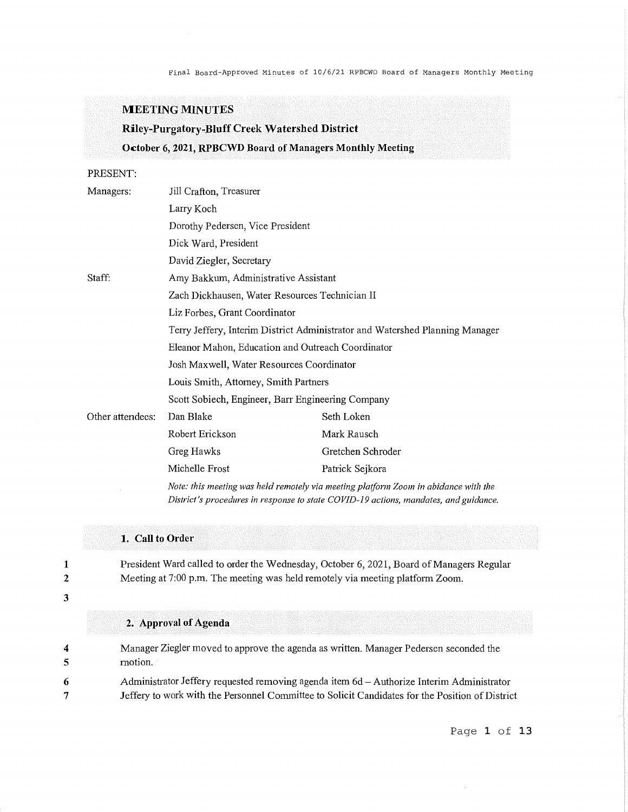Final Board-Approved Minutes of 10/6/21 RPBCWD Board of Managers Monthly Meeting

### **MEETING MINUTES**

# **Riley-Purgatory-Bluff Creek Watershed District October 6, 2021, RPBCWD Board of Managers Monthly Meeting**

PRESENT:

| Managers:        | Jill Crafton, Treasurer                                                             |                   |  |  |
|------------------|-------------------------------------------------------------------------------------|-------------------|--|--|
|                  | Larry Koch                                                                          |                   |  |  |
|                  | Dorothy Pedersen, Vice President                                                    |                   |  |  |
|                  | Dick Ward, President                                                                |                   |  |  |
|                  | David Ziegler, Secretary                                                            |                   |  |  |
| Staff:           | Amy Bakkum, Administrative Assistant                                                |                   |  |  |
|                  | Zach Dickhausen, Water Resources Technician II                                      |                   |  |  |
|                  | Liz Forbes, Grant Coordinator                                                       |                   |  |  |
|                  | Terry Jeffery, Interim District Administrator and Watershed Planning Manager        |                   |  |  |
|                  | Eleanor Mahon, Education and Outreach Coordinator                                   |                   |  |  |
|                  | Josh Maxwell, Water Resources Coordinator                                           |                   |  |  |
|                  | Louis Smith, Attorney, Smith Partners                                               |                   |  |  |
|                  | Scott Sobiech, Engineer, Barr Engineering Company                                   |                   |  |  |
| Other attendees: | Dan Blake                                                                           | Seth Loken        |  |  |
|                  | Robert Erickson                                                                     | Mark Rausch       |  |  |
|                  | Greg Hawks                                                                          | Gretchen Schroder |  |  |
|                  | Michelle Frost                                                                      | Patrick Sejkora   |  |  |
|                  | Note: this meeting was held remotely via meeting platform Zoom in abidance with the |                   |  |  |

*Note: this meeting was held remotely via meeting platform Zoom in abidance with the District's procedures in response to state COVID-19 actions, mandates, and guidance.* 

### **1. Call to Order**

President Ward called to order the Wednesday, October 6, 2021, Board of Managers Regular Meeting at 7:00 p.m. The meeting was held remotely via meeting platform Zoom.

**2**  3

**1** 

### **2. Approval of Agenda**

**4 5 6**  7 Manager Ziegler moved to approve the agenda as written. Manager Pedersen seconded the motion. Administrator Jeffery requested removing agenda item 6d - Authorize Interim Administrator Jeffery to work with the Personnel Committee to Solicit Candidates for the Position of District

Page **1 of 13**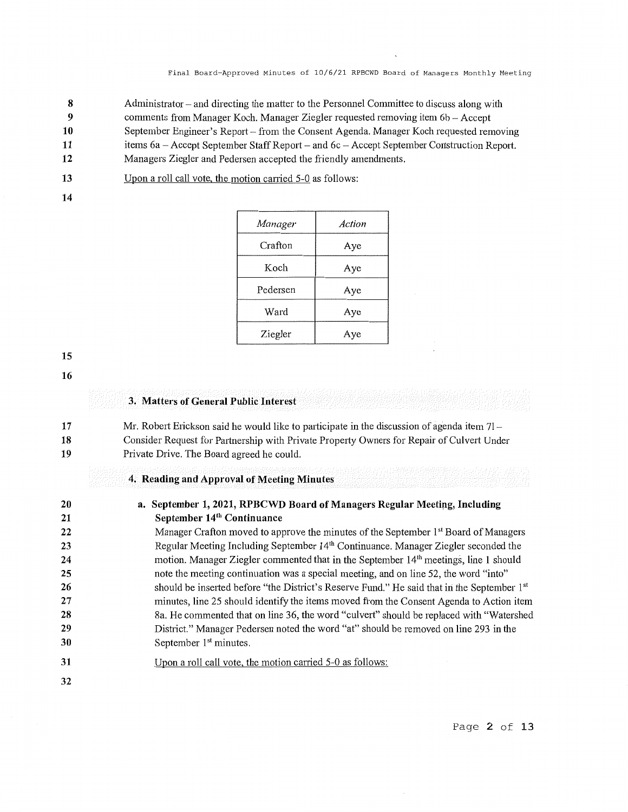- **8**  Administrator  $-$  and directing the matter to the Personnel Committee to discuss along with
- **9**  connnents from Manager Koch. Manager Ziegler requested removing item 66 - Accept
- **10**  September Engineer's Report – from the Consent Agenda. Manager Koch requested removing
- **11**  items 6a - Accept September Staff Report - and 6c - Accept September Construction Report.
- **12**  Managers Ziegler and Pedersen accepted the friendly amendments.
- **13**  Upon a roll call vote, the motion carried 5-0 as follows:
- 

|  |  |  | Upon a roll call vote, the motion carried 5-0 as follows |  |  |  |
|--|--|--|----------------------------------------------------------|--|--|--|
|  |  |  |                                                          |  |  |  |

| Manager  | Action |
|----------|--------|
| Crafton  | Aye    |
| Koch     | Aye    |
| Pedersen | Aye    |
| Ward     | Aye    |
| Ziegler  | Aye    |

**15** 

**16** 

### **3. Matters of General Public Interest**

**17 18 19**  Mr. Robert Erickson said he would like to participate in the discussion of agenda item 71 Consider Request for Partnership with Private Property Owners for Repair of Culvert Under Private Drive. The Board agreed he could.

### **4. Reading and Approval of Meeting Minutes**

| 20 | a. September 1, 2021, RPBCWD Board of Managers Regular Meeting, Including                        |
|----|--------------------------------------------------------------------------------------------------|
| 21 | September 14 <sup>th</sup> Continuance                                                           |
| 22 | Manager Crafton moved to approve the minutes of the September 1 <sup>st</sup> Board of Managers  |
| 23 | Regular Meeting Including September 14 <sup>th</sup> Continuance. Manager Ziegler seconded the   |
| 24 | motion. Manager Ziegler commented that in the September 14 <sup>th</sup> meetings, line 1 should |
| 25 | note the meeting continuation was a special meeting, and on line 52, the word "into"             |
| 26 | should be inserted before "the District's Reserve Fund." He said that in the September 1st       |
| 27 | minutes, line 25 should identify the items moved from the Consent Agenda to Action item          |
| 28 | 8a. He commented that on line 36, the word "culvert" should be replaced with "Watershed"         |
| 29 | District." Manager Pedersen noted the word "at" should be removed on line 293 in the             |
| 30 | September 1 <sup>st</sup> minutes.                                                               |
| 31 | Upon a roll call vote, the motion carried 5-0 as follows:                                        |
| 32 |                                                                                                  |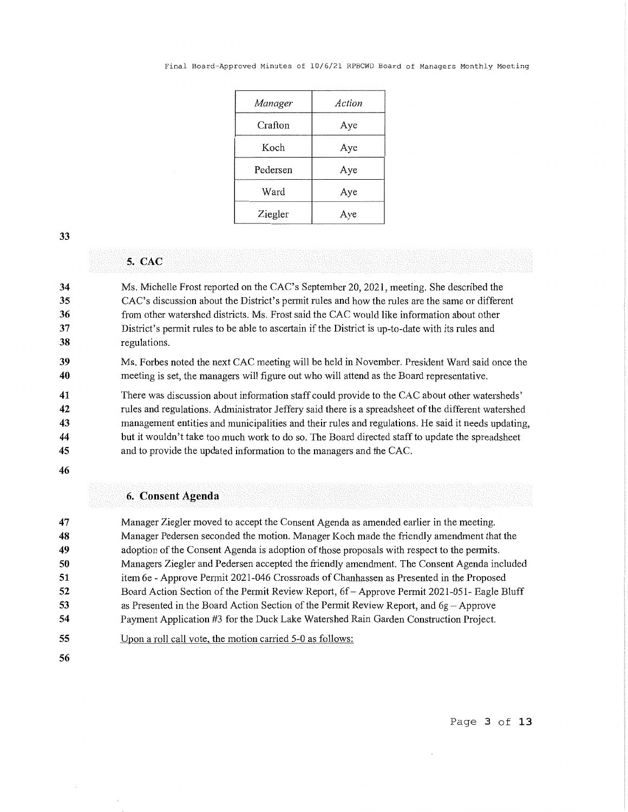| Manager  | Action |
|----------|--------|
| Crafton  | Aye    |
| Koch     | Aye    |
| Pedersen | Aye    |
| Ward     | Aye    |
| Ziegler  | Aye    |

## **5. CAC**

**34 35 36 37 38**  Ms. Michelle Frost reported on the CAC's September 20, 2021, meeting. She described the CAC's discussion about the District's permit rules and how the rules are the same or different from other watershed districts. Ms. Frost said the CAC would like information about other District's permit rules to be able to ascertain if the District is up-to-date with its rules and regulations.

**39 40**  Ms. Forbes noted the next CAC meeting will be held in November. President Ward said once the meeting is set, the managers will figure out who will attend as the Board representative.

**41 42 43 44 45**  There was discussion about information staff could provide to the CAC about other watersheds' rules and regulations. Administrator Jeffery said there is a spreadsheet of the different watershed management entities and municipalities and their rules and regulations. He said it needs updating, but it wouldn't take too much work to do so. The Board directed staff to update the spreadsheet and to provide the updated information to the managers and the CAC.

**46** 

### **6. Consent Agenda**

**47 48 49 50 51 52 53 54**  Manager Ziegler moved to accept the Consent Agenda as amended earlier in the meeting. Manager Pedersen seconded the motion. Manager Koch made the friendly amendment that the adoption of the Consent Agenda is adoption of those proposals with respect to the permits. Managers Ziegler and Pedersen accepted the friendly amendment. The Consent Agenda included item 6e - Approve Permit 2021-046 Crossroads of Chanhassen as Presented in the Proposed Board Action Section of the Permit Review Report, 6f-Approve Permit 2021-051- Eagle Bluff as Presented in the Board Action Section of the Permit Review Report, and  $6g -$ Approve Payment Application #3 for the Duck Lake Watershed Rain Garden Construction Project.

**55**  Upon a roll call vote, the motion carried 5-0 as follows:

**56** 

Page **3 of 13**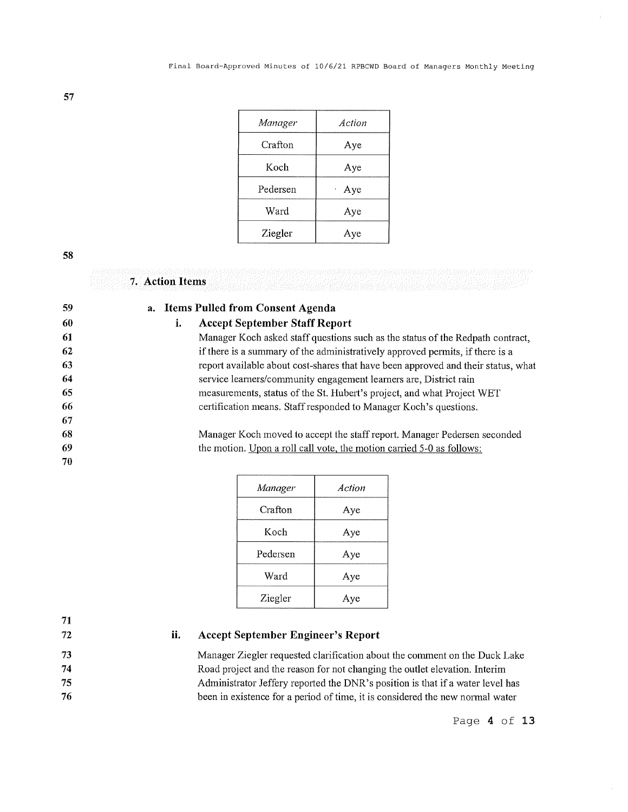| Manager  | Action            |
|----------|-------------------|
| Crafton  | Aye               |
| Koch     | Aye               |
| Pedersen | Aye<br>$\epsilon$ |
| Ward     | Aye               |
| Ziegler  | Aye               |

**7. Action Items** 

| 59 | a. Items Pulled from Consent Agenda                                               |
|----|-----------------------------------------------------------------------------------|
| 60 | <b>Accept September Staff Report</b><br>i.                                        |
| 61 | Manager Koch asked staff questions such as the status of the Redpath contract,    |
| 62 | if there is a summary of the administratively approved permits, if there is a     |
| 63 | report available about cost-shares that have been approved and their status, what |
| 64 | service learners/community engagement learners are, District rain                 |
| 65 | measurements, status of the St. Hubert's project, and what Project WET            |
| 66 | certification means. Staff responded to Manager Koch's questions.                 |
| 67 |                                                                                   |
| 68 | Manager Koch moved to accept the staff report. Manager Pedersen seconded          |
| 69 | the motion. Upon a roll call vote, the motion carried 5-0 as follows:             |
| 70 |                                                                                   |

| Manager  | Action |
|----------|--------|
| Crafton  | Aye    |
| Koch     | Aye    |
| Pedersen | Aye    |
| Ward     | Aye    |
| Ziegler  | Aye    |

**71**  72

#### **ii. Accept September Engineer's Report**

Manager Ziegler requested clarification about the comment on the Duck Lake Road project and the reason for not changing the outlet elevation. Interim Administrator Jeffery reported the DNR's position is that if a water level has been in existence for a period of time, it is considered the new normal water

Page **4 of 13**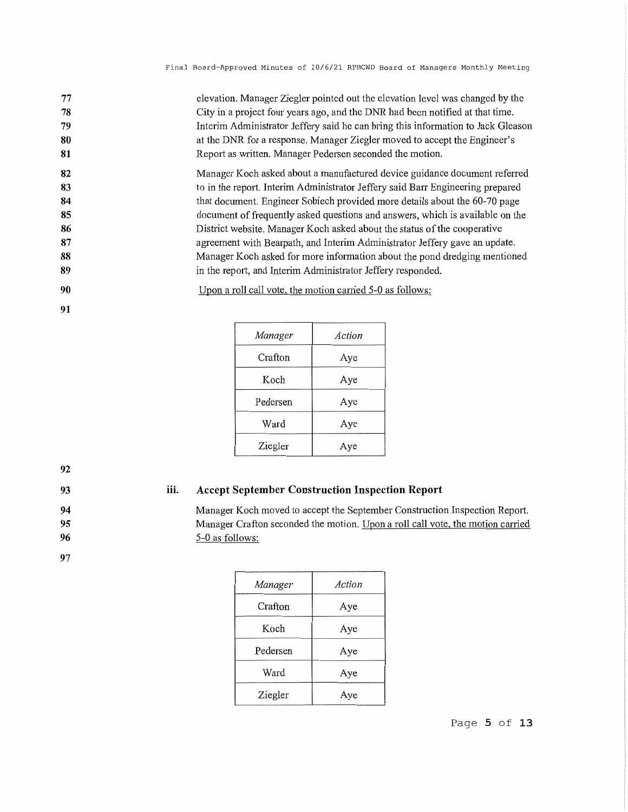| 77 | elevation. Manager Ziegler pointed out the elevation level was changed by the    |
|----|----------------------------------------------------------------------------------|
| 78 | City in a project four years ago, and the DNR had been notified at that time.    |
| 79 | Interim Administrator Jeffery said he can bring this information to Jack Gleason |
| 80 | at the DNR for a response. Manager Ziegler moved to accept the Engineer's        |
| 81 | Report as written. Manager Pedersen seconded the motion.                         |
| 82 | Manager Koch asked about a manufactured device guidance document referred        |
| 83 | to in the report. Interim Administrator Jeffery said Barr Engineering prepared   |
| 84 | that document. Engineer Sobiech provided more details about the 60-70 page       |
| 85 | document of frequently asked questions and answers, which is available on the    |
| 86 | District website. Manager Koch asked about the status of the cooperative         |
| 87 | agreement with Bearpath, and Interim Administrator Jeffery gave an update.       |
| 88 | Manager Koch asked for more information about the pond dredging mentioned        |
| 89 | in the report, and Interim Administrator Jeffery responded.                      |

**90**  Upon a roll call vote, the motion carried 5-0 as follows:

> *Manager Action*  Crafton Aye Koch Aye Pedersen | Aye Ward Aye Ziegler Aye

**92 93** 

**91** 

#### **iii. Accept September Construction Inspection Report**

Manager Koch moved to accept the September Construction Inspection Report. Manager Crafton seconded the motion. Upon a roll call vote, the motion carried 5-0 as follows:

| Manager  | Action |
|----------|--------|
| Crafton  | Aye    |
| Koch     | Aye    |
| Pedersen | Aye    |
| Ward     | Aye    |
| Ziegler  | Aye    |

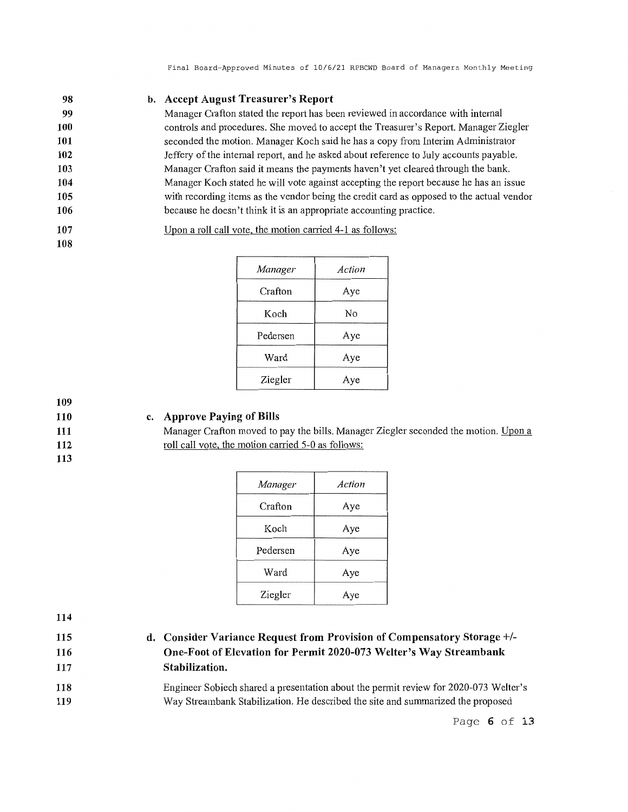#### **98 b. Accept August Treasurer's Report**

Manager Crafton stated the report has been reviewed in accordance with internal controls and procedures. She moved to accept the Treasurer's Report. Manager Ziegler seconded the motion. Manager Koch said he has a copy from Interim Administrator Jeffery of the internal report, and he asked about reference to July accounts payable. Manager Crafton said it means the payments haven't yet cleared through the bank. Manager Koch stated he will vote against accepting the report because he has an issue with recording items as the vendor being the credit card as opposed to the actual vendor because he doesn't think it is an appropriate accounting practice.

**107**  Upon a roll call vote, the motion carried 4-1 as follows:

|  | ٠<br>v<br>M |
|--|-------------|
|--|-------------|

| Manager  | Action |
|----------|--------|
| Crafton  | Aye    |
| Koch     | No     |
| Pedersen | Aye    |
| Ward     | Aye    |
| Ziegler  | Aye    |

**109 110** 

**111 112 113** 

## **c. Approve Paying of Bills**

Manager Crafton moved to pay the bills. Manager Ziegler seconded the motion. Upon a roll call vote, the motion carried 5-0 as follows:

| Manager  | Action |
|----------|--------|
| Crafton  | Aye    |
| Koch     | Aye    |
| Pedersen | Aye    |
| Ward     | Aye    |
| Ziegler  | Aye    |

**114** 

**115 116** 

**117** 

- **d. Consider Variance Request from Provision of Compensatory Storage+/- One-Foot of Elevation for Permit 2020-073 Welter's Way Streambank Stabilization.**
- **118 119**  Engineer Sobiech shared a presentation about the permit review for 2020-073 Welter's Way Streambank Stabilization. He described the site and summarized the proposed

Page **6 of 13**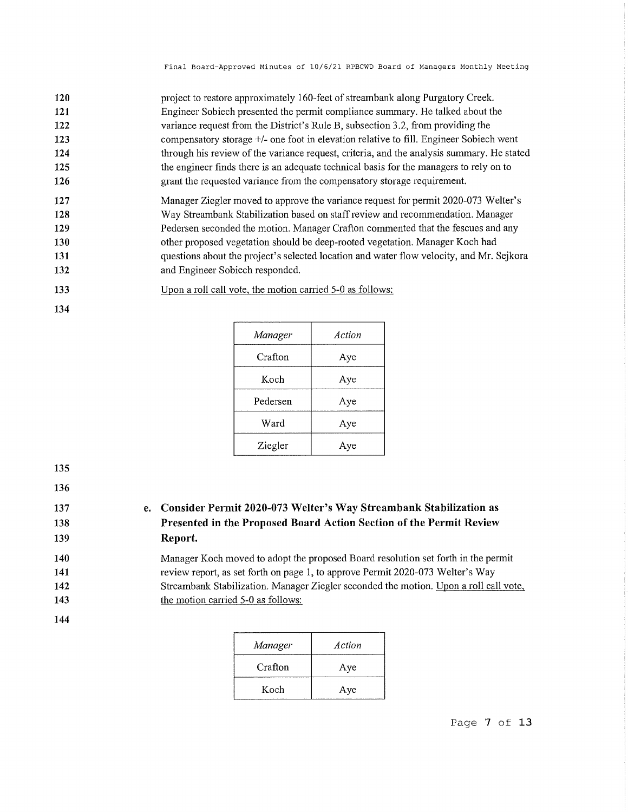| 120 | project to restore approximately 160-feet of streambank along Purgatory Creek.            |
|-----|-------------------------------------------------------------------------------------------|
| 121 | Engineer Sobiech presented the permit compliance summary. He talked about the             |
| 122 | variance request from the District's Rule B, subsection 3.2, from providing the           |
| 123 | compensatory storage +/- one foot in elevation relative to fill. Engineer Sobiech went    |
| 124 | through his review of the variance request, criteria, and the analysis summary. He stated |
| 125 | the engineer finds there is an adequate technical basis for the managers to rely on to    |
| 126 | grant the requested variance from the compensatory storage requirement.                   |
| 127 | Manager Ziegler moved to approve the variance request for permit 2020-073 Welter's        |
| 128 | Way Streambank Stabilization based on staff review and recommendation. Manager            |
| 129 | Pedersen seconded the motion. Manager Crafton commented that the fescues and any          |
| 130 | other proposed vegetation should be deep-rooted vegetation. Manager Koch had              |
| 131 | questions about the project's selected location and water flow velocity, and Mr. Sejkora  |
| 132 | and Engineer Sobiech responded.                                                           |

- **133**  Upon a roll call vote, the motion carried 5-0 as follows:
- **134**

| Manager  | Action |
|----------|--------|
| Crafton  | Aye    |
| Koch     | Aye    |
| Pedersen | Aye    |
| Ward     | Aye    |
| Ziegler  | Aye    |

**136 137** 

**e. Consider Permit 2020-073 Welter's Way Streambank Stabilization as Presented in the Proposed Board Action Section of the Permit Review Report.** 

Manager Koch moved to adopt the proposed Board resolution set forth in the permit review report, as set forth on page 1, to approve Permit 2020-073 Welter's Way Streambank Stabilization. Manager Ziegler seconded the motion. Upon a roll call vote, the motion carried 5-0 as follows:

**144** 

| Manager | Action |
|---------|--------|
| Crafton | Aye    |
| Koch    | Aye    |

Page **7 of 13**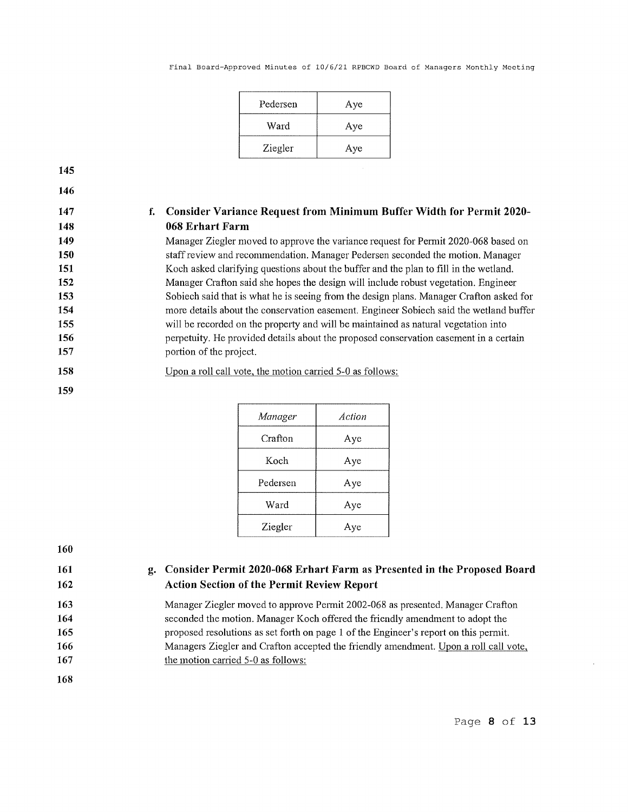| Pedersen | Aye |
|----------|-----|
| Ward     | Aye |
| Ziegler  | Aye |

**146** 

# **f. Consider Variance Request from Minimum Buffer Width for Permit 2020- 068 Erhart Farm**

Manager Ziegler moved to approve the variance request for Permit 2020-068 based on staff review and recommendation. Manager Pedersen seconded the motion. Manager Koch asked clarifying questions about the buffer and the plan to fill in the wetland. Manager Crafton said she hopes the design will include robust vegetation. Engineer Sobiech said that is what he is seeing from the design plans. Manager Crafton asked for more details about the conservation easement. Engineer Sobiech said the wetland buffer will be recorded on the property and will be maintained as natural vegetation into perpetuity. He provided details about the proposed conservation easement in a certain portion of the project.

**158**  Upon a roll call vote, the motion carried 5-0 as follows:

| Manager  | Action |
|----------|--------|
| Crafton  | Aye    |
| Koch     | Aye    |
| Pedersen | Aye    |
| Ward     | Aye    |
| Ziegler  | Aye    |

**160** 

**159** 

**161 162** 

## **g. Consider Permit 2020-068 Erhart Farm as Presented in the Proposed Board Action Section of the Permit Review Report**

Manager Ziegler moved to approve Permit 2002-068 as presented. Manager Crafton seconded the motion. Manager Koch offered the friendly amendment to adopt the proposed resolutions as set forth on page 1 of the Engineer's report on this permit. Managers Ziegler and Crafton accepted the friendly amendment. Upon a roll call vote, the motion carried 5-0 as follows:

**168** 

Page **8 of 13**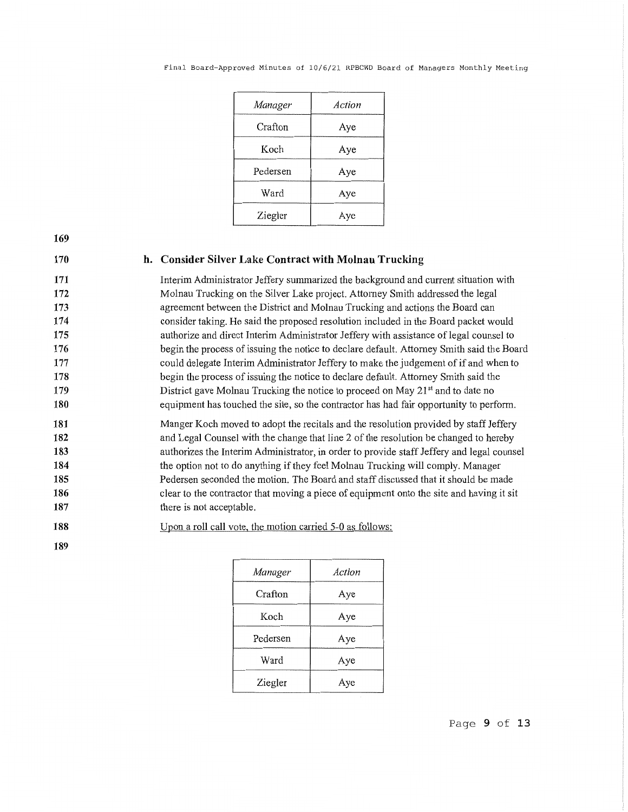|  | Final Board-Approved Minutes of 10/6/21 RPBCWD Board of Managers Monthly Meeting |  |  |  |  |  |  |  |  |  |
|--|----------------------------------------------------------------------------------|--|--|--|--|--|--|--|--|--|
|--|----------------------------------------------------------------------------------|--|--|--|--|--|--|--|--|--|

| Manager  | Action |
|----------|--------|
| Crafton  | Aye    |
| Koch     | Aye    |
| Pedersen | Aye    |
| Ward     | Aye    |
| Ziegler  | Aye    |

**Consider Silver Lake Contract with Molnau Trucking** 

Interim Administrator Jeffery summarized the background and current situation with Molnau Trncking on the Silver Lake project. Attorney Smith addressed the legal agreement between the District and Molnau Trucking and actions the Board can consider taking. He said the proposed resolution included in the Board packet would authorize and direct Interim Administrator Jeffery with assistance of legal counsel to begin the process of issuing the notice to declare default. Attorney Smith said the Board could delegate Interim Administrator Jeffery to make the judgement of if and when to begin the process of issuing the notice to declare default. Attorney Smith said the District gave Molnau Trucking the notice to proceed on May 21<sup>st</sup> and to date no equipment has touched the site, so the contractor has had fair opportunity to perform.

**181 182 183 184 185 186 187**  Manger Koch moved to adopt the recitals and the resolution provided by staff Jeffery and Legal Counsel with the change that line 2 of the resolution be changed to hereby authorizes the Interim Administrator, in order to provide staff Jeffery and legal counsel the option not to do anything if they feel Molnau Trucking will comply. Manager Pedersen seconded the motion. The Board and staff discussed that it should be made clear to the contractor that moving a piece of equipment onto the site and having it sit there is not acceptable.

**188**  Upon a roll call vote, the motion carried 5-0 as follows:

**189** 

| Manager  | Action |
|----------|--------|
| Crafton  | Aye    |
| Koch     | Aye    |
| Pedersen | Aye    |
| Ward     | Aye    |
| Ziegler  | Ave    |

Page **9 of 13**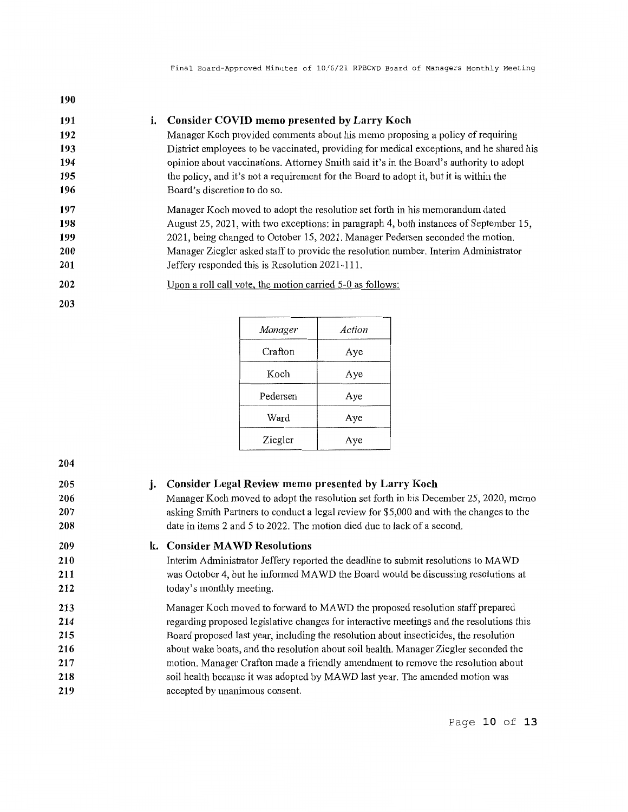| 190        |                                                                                          |
|------------|------------------------------------------------------------------------------------------|
| 191        | <b>Consider COVID memo presented by Larry Koch</b><br>i.                                 |
| 192        | Manager Koch provided comments about his memo proposing a policy of requiring            |
| 193        | District employees to be vaccinated, providing for medical exceptions, and he shared his |
| 194        | opinion about vaccinations. Attorney Smith said it's in the Board's authority to adopt   |
| 195        | the policy, and it's not a requirement for the Board to adopt it, but it is within the   |
| 196        | Board's discretion to do so.                                                             |
| 197        | Manager Koch moved to adopt the resolution set forth in his memorandum dated             |
| 198        | August 25, 2021, with two exceptions: in paragraph 4, both instances of September 15,    |
| 199        | 2021, being changed to October 15, 2021. Manager Pedersen seconded the motion.           |
| <b>200</b> | Manager Ziegler asked staff to provide the resolution number. Interim Administrator      |
| 201        | Jeffery responded this is Resolution 2021-111.                                           |
| 202        | Upon a roll call vote, the motion carried 5-0 as follows:                                |
| 203        |                                                                                          |

| Manager  | Action |
|----------|--------|
| Crafton  | Aye    |
| Koch     | Aye    |
| Pedersen | Aye    |
| Ward     | Aye    |
| Ziegler  | Aye    |

| 205<br>206<br>207<br>208 | j. | <b>Consider Legal Review memo presented by Larry Koch</b><br>Manager Koch moved to adopt the resolution set forth in his December 25, 2020, memo<br>asking Smith Partners to conduct a legal review for \$5,000 and with the changes to the<br>date in items 2 and 5 to 2022. The motion died due to lack of a second. |
|--------------------------|----|------------------------------------------------------------------------------------------------------------------------------------------------------------------------------------------------------------------------------------------------------------------------------------------------------------------------|
| 209                      |    | k. Consider MAWD Resolutions                                                                                                                                                                                                                                                                                           |
| 210                      |    | Interim Administrator Jeffery reported the deadline to submit resolutions to MAWD                                                                                                                                                                                                                                      |
| 211                      |    | was October 4, but he informed MAWD the Board would be discussing resolutions at                                                                                                                                                                                                                                       |
| 212                      |    | today's monthly meeting.                                                                                                                                                                                                                                                                                               |
| 213                      |    | Manager Koch moved to forward to MAWD the proposed resolution staff prepared                                                                                                                                                                                                                                           |
| 214                      |    | regarding proposed legislative changes for interactive meetings and the resolutions this                                                                                                                                                                                                                               |
| 215                      |    | Board proposed last year, including the resolution about insecticides, the resolution                                                                                                                                                                                                                                  |
| 216                      |    | about wake boats, and the resolution about soil health. Manager Ziegler seconded the                                                                                                                                                                                                                                   |
| 217                      |    | motion. Manager Crafton made a friendly amendment to remove the resolution about                                                                                                                                                                                                                                       |
| 218                      |    | soil health because it was adopted by MAWD last year. The amended motion was                                                                                                                                                                                                                                           |
| 219                      |    | accepted by unanimous consent.                                                                                                                                                                                                                                                                                         |
|                          |    |                                                                                                                                                                                                                                                                                                                        |

Page 10 of **13**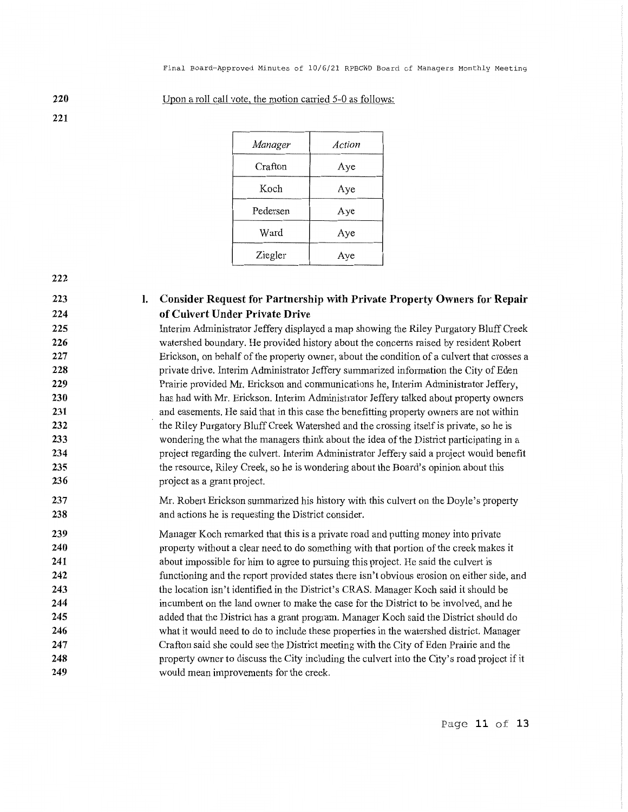| Manager  | Action |
|----------|--------|
| Crafton  | Aye    |
| Koch     | Aye    |
| Pedersen | Aye    |
| Ward     | Aye    |
| Ziegler  | Aye    |
|          |        |

Upon a roll call vote, the motion carried 5-0 as follows:

**220 221** 

- **222**
- **223 224**

## I. **Consider Request for Partnership with Private Property Owners for Repair of Culvert Under Private Drive**

Interim Administrator Jeffery displayed a map showing the Riley Purgatory Bluff Creek watershed boundary. He provided history about the concerns raised by resident Robert Erickson, on behalf of the property owner, about the condition of a culvert that crosses a private drive. Interim Administrator Jeffery summarized information the City of Eden Prairie provided Mr. Erickson and communications he, Interim Administrator Jeffery, has had with Mr. Erickson. Interim Administrator Jeffery talked about property owners and easements. He said that in this case the benefitting property owners are not within the Riley Purgatory Bluff Creek Watershed and the crossing itself is private, so he is wondering the what the managers think about the idea of the District participating in a project regarding the culvert. Interim Administrator Jeffery said a project would benefit the resource, Riley Creek, so he is wondering about the Board's opinion about this project as a grant project.

Mr. Robert Erickson summarized his history with this culvert on the Doyle's property and actions he is requesting the District consider.

**239 240 241 242 243 244 245 246 247 248 249**  Manager Koch remarked that this is a private road and putting money into private property without a clear need to do something with that portion of the creek makes it about impossible for him to agree to pursuing this project. He said the culvert is functioning and the report provided states there isn't obvious erosion on either side, and the location isn't identified in the District's CRAS. Manager Koch said it should be incumbent on the land owner to make the case for the District to be involved, and he added that the District has a grant program. Manager Koch said the District should do what it would need to do to include these properties in the watershed district. Manager Crafton said she could see the District meeting with the City of Eden Prairie and the property owner to discuss the City including the culvert into the City's road project if it would mean improvements for the creek.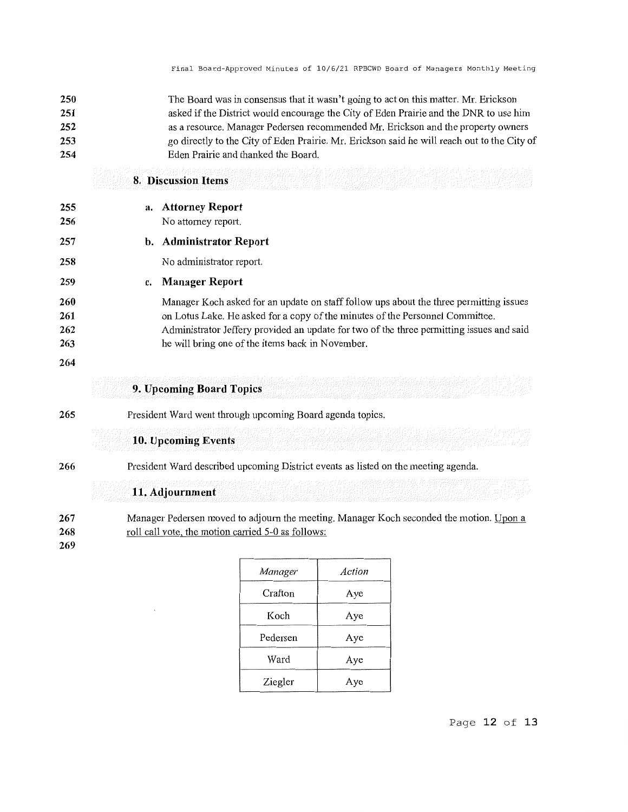| 250<br>251 | The Board was in consensus that it wasn't going to act on this matter. Mr. Erickson<br>asked if the District would encourage the City of Eden Prairie and the DNR to use him |
|------------|------------------------------------------------------------------------------------------------------------------------------------------------------------------------------|
| 252        | as a resource. Manager Pedersen recommended Mr. Erickson and the property owners                                                                                             |
| 253<br>254 | go directly to the City of Eden Prairie. Mr. Erickson said he will reach out to the City of<br>Eden Prairie and thanked the Board.                                           |
|            | <b>8. Discussion Items</b>                                                                                                                                                   |
| 255        | <b>Attorney Report</b><br>a.                                                                                                                                                 |
| 256        | No attorney report.                                                                                                                                                          |
| 257        | <b>Administrator Report</b><br>b.                                                                                                                                            |
| 258        | No administrator report.                                                                                                                                                     |
| 259        | <b>Manager Report</b><br>c.                                                                                                                                                  |
| 260        | Manager Koch asked for an update on staff follow ups about the three permitting issues                                                                                       |
| 261        | on Lotus Lake. He asked for a copy of the minutes of the Personnel Committee.                                                                                                |
| 262<br>263 | Administrator Jeffery provided an update for two of the three permitting issues and said<br>he will bring one of the items back in November.                                 |
| 264        |                                                                                                                                                                              |
|            | 9. Upcoming Board Topics                                                                                                                                                     |
| 265        | President Ward went through upcoming Board agenda topics.                                                                                                                    |
|            | 10. Upcoming Events                                                                                                                                                          |
| 266        | President Ward described upcoming District events as listed on the meeting agenda.                                                                                           |
|            | 11. Adjournment                                                                                                                                                              |
| 267<br>268 | Manager Pedersen moved to adjourn the meeting. Manager Koch seconded the motion. Upon a<br>roll call vote, the motion carried 5-0 as follows:                                |
| 269        |                                                                                                                                                                              |

| Manager  | Action |
|----------|--------|
| Crafton  | Aye    |
| Koch     | Aye    |
| Pedersen | Aye    |
| Ward     | Aye    |
| Ziegler  | Aye    |

Page **12 of 13**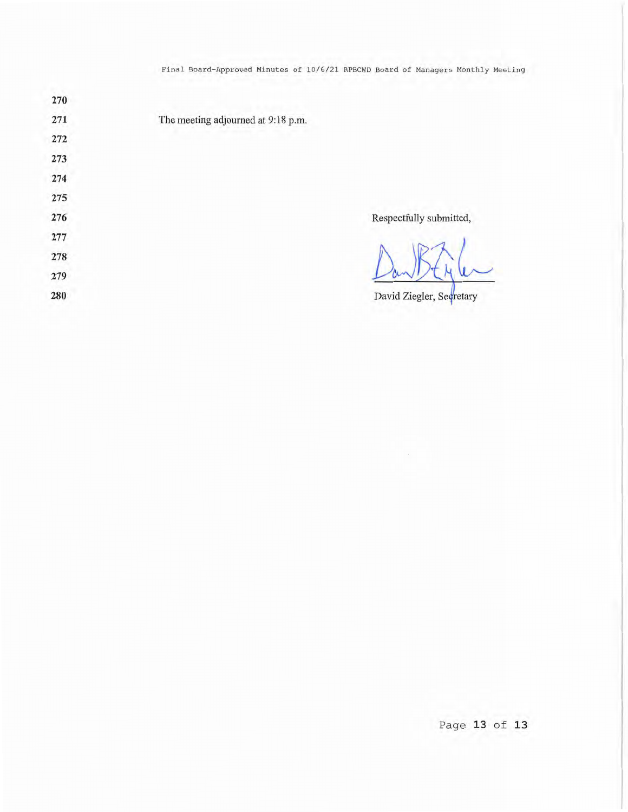Final Board-Approved Minutes of 10/6/21 RPBCWD Board of Managers Monthly Meeting

| 270 |                                    |
|-----|------------------------------------|
| 271 | The meeting adjourned at 9:18 p.m. |
| 272 |                                    |
| 273 |                                    |
| 274 |                                    |
| 275 |                                    |
| 276 | Respectfully submitted,            |
| 277 |                                    |
| 278 |                                    |
| 279 |                                    |
| 280 | David Ziegler, Secretary           |

Page 13 of 13